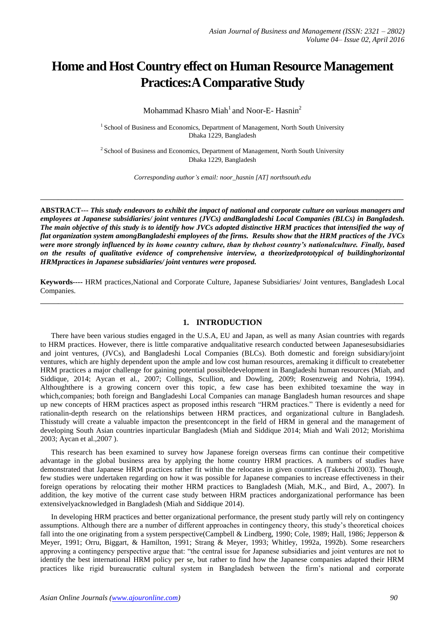# **Home and Host Country effect on Human Resource Management Practices:A Comparative Study**

Mohammad Khasro Miah $^{\rm l}$  and Noor-E- Hasnin $^{\rm 2}$ 

<sup>1</sup> School of Business and Economics, Department of Management, North South University Dhaka 1229, Bangladesh

<sup>2</sup> School of Business and Economics, Department of Management, North South University Dhaka 1229, Bangladesh

*Corresponding author's email: noor\_hasnin [AT] northsouth.edu*

\_\_\_\_\_\_\_\_\_\_\_\_\_\_\_\_\_\_\_\_\_\_\_\_\_\_\_\_\_\_\_\_\_\_\_\_\_\_\_\_\_\_\_\_\_\_\_\_\_\_\_\_\_\_\_\_\_\_\_\_\_\_\_\_\_\_\_\_\_\_\_\_\_\_\_\_\_\_\_\_\_

**ABSTRACT---** *This study endeavors to exhibit the impact of national and corporate culture on various managers and employees at Japanese subsidiaries/ joint ventures (JVCs) andBangladeshi Local Companies (BLCs) in Bangladesh. The main objective of this study is to identify how JVCs adopted distinctive HRM practices that intensified the way of flat organization system amongBangladeshi employees of the firms. Results show that the HRM practices of the JVCs were more strongly influenced by its home country culture, than by thehost country's nationalculture. Finally, based on the results of qualitative evidence of comprehensive interview, a theorizedprototypical of buildinghorizontal HRMpractices in Japanese subsidiaries/ joint ventures were proposed.*

**Keywords----** HRM practices,National and Corporate Culture, Japanese Subsidiaries/ Joint ventures, Bangladesh Local Companies. \_\_\_\_\_\_\_\_\_\_\_\_\_\_\_\_\_\_\_\_\_\_\_\_\_\_\_\_\_\_\_\_\_\_\_\_\_\_\_\_\_\_\_\_\_\_\_\_\_\_\_\_\_\_\_\_\_\_\_\_\_\_\_\_\_\_\_\_\_\_\_\_\_\_\_\_\_\_\_\_\_

### **1. INTRODUCTION**

There have been various studies engaged in the U.S.A, EU and Japan, as well as many Asian countries with regards to HRM practices. However, there is little comparative andqualitative research conducted between Japanesesubsidiaries and joint ventures, (JVCs), and Bangladeshi Local Companies (BLCs). Both domestic and foreign subsidiary/joint ventures, which are highly dependent upon the ample and low cost human resources, aremaking it difficult to createbetter HRM practices a major challenge for gaining potential possibledevelopment in Bangladeshi human resources (Miah, and Siddique, 2014; Aycan et al., 2007; Collings, Scullion, and Dowling, 2009; Rosenzweig and Nohria, 1994). Althoughthere is a growing concern over this topic, a few case has been exhibited toexamine the way in which,companies; both foreign and Bangladeshi Local Companies can manage Bangladesh human resources and shape up new concepts of HRM practices aspect as proposed inthis research "HRM practices." There is evidently a need for rationalin-depth research on the relationships between HRM practices, and organizational culture in Bangladesh. Thisstudy will create a valuable impacton the presentconcept in the field of HRM in general and the management of developing South Asian countries inparticular Bangladesh (Miah and Siddique 2014; Miah and Wali 2012; Morishima 2003; Aycan et al.,2007 ).

This research has been examined to survey how Japanese foreign overseas firms can continue their competitive advantage in the global business area by applying the home country HRM practices. A numbers of studies have demonstrated that Japanese HRM practices rather fit within the relocates in given countries (Takeuchi 2003). Though, few studies were undertaken regarding on how it was possible for Japanese companies to increase effectiveness in their foreign operations by relocating their mother HRM practices to Bangladesh (Miah, M.K., and Bird, A., 2007). In addition, the key motive of the current case study between HRM practices andorganizational performance has been extensivelyacknowledged in Bangladesh (Miah and Siddique 2014).

In developing HRM practices and better organizational performance, the present study partly will rely on contingency assumptions. Although there are a number of different approaches in contingency theory, this study's theoretical choices fall into the one originating from a system perspective[\(Campbell & Lindberg, 1990;](http://amj.aom.org/content/45/1/215.full#ref-5) [Cole, 1989;](http://amj.aom.org/content/45/1/215.full#ref-7) [Hall, 1986;](http://amj.aom.org/content/45/1/215.full#ref-19) Jepperson & [Meyer, 1991;](http://amj.aom.org/content/45/1/215.full#ref-22) [Orru, Biggart, & Hamilton, 1991;](http://amj.aom.org/content/45/1/215.full#ref-42) [Strang & Meyer, 1993;](http://amj.aom.org/content/45/1/215.full#ref-48) [Whitley, 1992a,](http://amj.aom.org/content/45/1/215.full#ref-56) [1992b\)](http://amj.aom.org/content/45/1/215.full#ref-57). Some researchers approving a contingency perspective argue that: "the central issue for Japanese subsidiaries and joint ventures are not to identify the best international HRM policy per se, but rather to find how the Japanese companies adapted their HRM practices like rigid bureaucratic cultural system in Bangladesh between the firm's national and corporate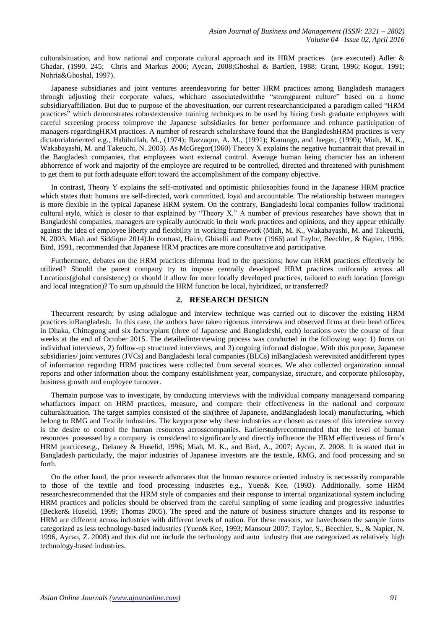culturalsituation, and how national and corporate cultural approach and its HRM practices (are executed) Adler & Ghadar, (1990, 245; Chris and Markus 2006; Aycan, 2008[;Ghoshal & Bartlett, 1988;](http://amj.aom.org/content/45/1/215.full#ref-15) [Grant, 1996;](http://amj.aom.org/content/45/1/215.full#ref-18) [Kogut, 1991;](http://amj.aom.org/content/45/1/215.full#ref-26) [Nohria&Ghoshal, 1997\)](http://amj.aom.org/content/45/1/215.full#ref-38).

Japanese subsidiaries and joint ventures areendeavoring for better HRM practices among Bangladesh managers through adjusting their corporate values, whichare associatedwiththe "strongparent culture" based on a home subsidiaryaffiliation. But due to purpose of the abovesituation, our current researchanticipated a paradigm called "HRM practices" which demonstrates robustextensive training techniques to be used by hiring fresh graduate employees with careful screening process toimprove the Japanese subsidiaries for better performance and enhance participation of managers regardingHRM practices. A number of research scholarshave found that the BangladeshHRM practices is very dictatorialoriented e.g., Habibullah, M., (1974); Razzaque, A. M., (1991); Kanungo, and Jaeger, (1990); Miah, M. K., Wakabayashi, M. and Takeuchi, N. 2003). As McGregor(1960) Theory X explains the negative humantrait that prevail in the Bangladesh companies, that employees want external control. Average human being character has an inherent abhorrence of work and majority of the employee are required to be controlled, directed and threatened with punishment to get them to put forth adequate effort toward the accomplishment of the company objective.

In contrast, Theory Y explains the self-motivated and optimistic philosophies found in the Japanese HRM practice which states that: humans are self-directed, work committed, loyal and accountable. The relationship between managers is more flexible in the typical Japanese HRM system. On the contrary, Bangladeshi local companies follow traditional cultural style, which is closer to that explained by "Theory X." A number of previous researches have shown that in Bangladeshi companies, managers are typically autocratic in their work practices and opinions, and they appear ethically against the idea of employee liberty and flexibility in working framework (Miah, M. K., Wakabayashi, M. and Takeuchi, N. 2003; Miah and Siddique 2014).In contrast, Haire, Ghiselli and Porter (1966) and Taylor, Beechler, & Napier, 1996; Bird, 1991, recommended that Japanese HRM practices are more consultative and participative.

Furthermore, debates on the HRM practices dilemma lead to the questions; how can HRM practices effectively be utilized? Should the parent company try to impose centrally developed HRM practices uniformly across all Locations(global consistency) or should it allow for more locally developed practices, tailored to each location (foreign and local integration)? To sum up,should the HRM function be local, hybridized, or transferred?

### **2. RESEARCH DESIGN**

Thecurrent research; by using adialogue and interview technique was carried out to discover the existing HRM practices inBangladesh. In this case, the authors have taken rigorous interviews and observed firms at their head offices in Dhaka, Chittagong and six factoryplant (three of Japanese and Bangladeshi, each) locations over the course of four weeks at the end of October 2015. The detailedinterviewing process was conducted in the following way: 1) focus on individual interviews, 2) follow-up structured interviews, and 3) ongoing informal dialogue. With this purpose, Japanese subsidiaries/ joint ventures (JVCs) and Bangladeshi local companies (BLCs) inBangladesh werevisited anddifferent types of information regarding HRM practices were collected from several sources. We also collected organization annual reports and other information about the company establishment year, companysize, structure, and corporate philosophy, business growth and employee turnover.

Themain purpose was to investigate, by conducting interviews with the individual company managersand comparing whatfactors impact on HRM practices, measure, and compare their effectiveness in the national and corporate culturalsituation. The target samples consisted of the six(three of Japanese, andBangladesh local) manufacturing, which belong to RMG and Textile industries. The keypurpose why these industries are chosen as cases of this interview survey is the desire to control the human resources acrosscompanies. Earlierstudyrecommended that the level of human resources possessed by a company is considered to significantly and directly influence the HRM effectiveness of firm's HRM practicese.g., Delaney & Huselid, 1996; Miah, M. K., and Bird, A., 2007; Aycan, Z. 2008. It is stated that in Bangladesh particularly, the major industries of Japanese investors are the textile, RMG, and food processing and so forth.

On the other hand, the prior research advocates that the human resource oriented industry is necessarily comparable to those of the textile and food processing industries e.g., Yuen& Kee, (1993). Additionally, some HRM researchesrecommended that the HRM style of companies and their response to internal organizational system including HRM practices and policies should be observed from the careful sampling of some leading and progressive industries (Becker& Huselid, 1999; Thomas 2005). The speed and the nature of business structure changes and its response to HRM are different across industries with different levels of nation. For these reasons, we havechosen the sample firms categorized as less technology-based industries (Yuen& Kee, 1993; Mansour 2007; Taylor, S., Beechler, S., & Napier, N. 1996, Aycan, Z. 2008) and thus did not include the technology and auto industry that are categorized as relatively high technology-based industries.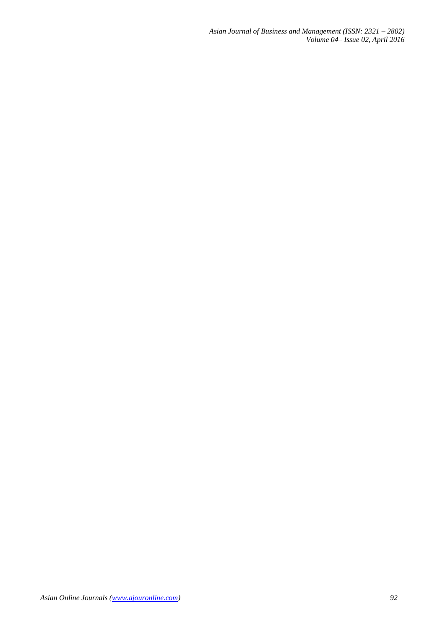*Asian Journal of Business and Management (ISSN: 2321 – 2802) Volume 04– Issue 02, April 2016*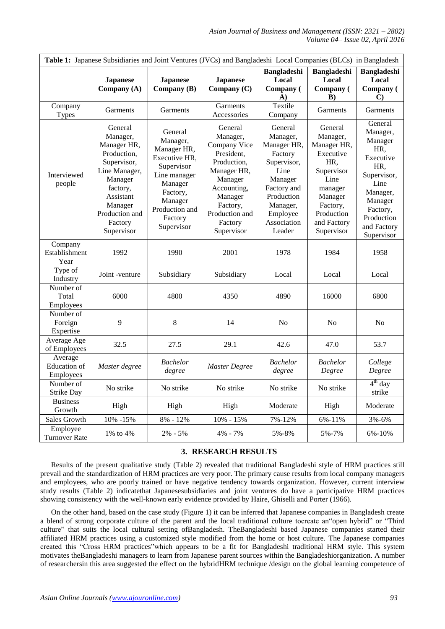| Table 1: Japanese Subsidiaries and Joint Ventures (JVCs) and Bangladeshi Local Companies (BLCs) in Bangladesh |                                                                                                                                                                             |                                                                                                                                                                |                                                                                                                                                                             |                                                                                                                                                               |                                                                                                                                                           |                                                                                                                                                                |  |  |
|---------------------------------------------------------------------------------------------------------------|-----------------------------------------------------------------------------------------------------------------------------------------------------------------------------|----------------------------------------------------------------------------------------------------------------------------------------------------------------|-----------------------------------------------------------------------------------------------------------------------------------------------------------------------------|---------------------------------------------------------------------------------------------------------------------------------------------------------------|-----------------------------------------------------------------------------------------------------------------------------------------------------------|----------------------------------------------------------------------------------------------------------------------------------------------------------------|--|--|
|                                                                                                               | <b>Japanese</b><br>Company (A)                                                                                                                                              | <b>Japanese</b><br>Company (B)                                                                                                                                 | <b>Japanese</b><br>Company (C)                                                                                                                                              | <b>Bangladeshi</b><br>Local<br>Company (<br>A)                                                                                                                | <b>Bangladeshi</b><br>Local<br>Company (<br>$\bf{B}$                                                                                                      | <b>Bangladeshi</b><br>Local<br>Company (<br>C)                                                                                                                 |  |  |
| Company<br><b>Types</b>                                                                                       | Garments                                                                                                                                                                    | Garments                                                                                                                                                       | Garments<br>Accessories                                                                                                                                                     | Textile<br>Company                                                                                                                                            | Garments                                                                                                                                                  | Garments                                                                                                                                                       |  |  |
| Interviewed<br>people                                                                                         | General<br>Manager,<br>Manager HR,<br>Production,<br>Supervisor,<br>Line Manager,<br>Manager<br>factory,<br>Assistant<br>Manager<br>Production and<br>Factory<br>Supervisor | General<br>Manager,<br>Manager HR,<br>Executive HR,<br>Supervisor<br>Line manager<br>Manager<br>Factory,<br>Manager<br>Production and<br>Factory<br>Supervisor | General<br>Manager,<br>Company Vice<br>President,<br>Production,<br>Manager HR,<br>Manager<br>Accounting,<br>Manager<br>Factory,<br>Production and<br>Factory<br>Supervisor | General<br>Manager,<br>Manager HR,<br>Factory<br>Supervisor,<br>Line<br>Manager<br>Factory and<br>Production<br>Manager,<br>Employee<br>Association<br>Leader | General<br>Manager,<br>Manager HR,<br>Executive<br>HR,<br>Supervisor<br>Line<br>manager<br>Manager<br>Factory,<br>Production<br>and Factory<br>Supervisor | General<br>Manager,<br>Manager<br>HR,<br>Executive<br>HR,<br>Supervisor,<br>Line<br>Manager,<br>Manager<br>Factory,<br>Production<br>and Factory<br>Supervisor |  |  |
| Company<br>Establishment<br>Year                                                                              | 1992                                                                                                                                                                        | 1990                                                                                                                                                           | 2001                                                                                                                                                                        | 1978                                                                                                                                                          | 1984                                                                                                                                                      | 1958                                                                                                                                                           |  |  |
| Type of<br>Industry                                                                                           | Joint -venture                                                                                                                                                              | Subsidiary                                                                                                                                                     | Subsidiary                                                                                                                                                                  | Local                                                                                                                                                         | Local                                                                                                                                                     | Local                                                                                                                                                          |  |  |
| Number of<br>Total<br>Employees                                                                               | 6000                                                                                                                                                                        | 4800                                                                                                                                                           | 4350                                                                                                                                                                        | 4890                                                                                                                                                          | 16000                                                                                                                                                     | 6800                                                                                                                                                           |  |  |
| Number of<br>Foreign<br>Expertise                                                                             | 9                                                                                                                                                                           | 8                                                                                                                                                              | 14                                                                                                                                                                          | N <sub>0</sub>                                                                                                                                                | N <sub>0</sub>                                                                                                                                            | N <sub>o</sub>                                                                                                                                                 |  |  |
| Average Age<br>of Employees                                                                                   | 32.5                                                                                                                                                                        | 27.5                                                                                                                                                           | 29.1                                                                                                                                                                        | 42.6                                                                                                                                                          | 47.0                                                                                                                                                      | 53.7                                                                                                                                                           |  |  |
| Average<br><b>Education</b> of<br>Employees                                                                   | Master degree                                                                                                                                                               | <b>Bachelor</b><br>degree                                                                                                                                      | Master Degree                                                                                                                                                               | <b>Bachelor</b><br>degree                                                                                                                                     | <b>Bachelor</b><br>Degree                                                                                                                                 | College<br>Degree                                                                                                                                              |  |  |
| Number of<br>Strike Day                                                                                       | No strike                                                                                                                                                                   | No strike                                                                                                                                                      | No strike                                                                                                                                                                   | No strike                                                                                                                                                     | No strike                                                                                                                                                 | $4th$ day<br>strike                                                                                                                                            |  |  |
| <b>Business</b><br>Growth                                                                                     | High                                                                                                                                                                        | High                                                                                                                                                           | High                                                                                                                                                                        | Moderate                                                                                                                                                      | High                                                                                                                                                      | Moderate                                                                                                                                                       |  |  |
| Sales Growth                                                                                                  | 10% -15%                                                                                                                                                                    | 8% - 12%                                                                                                                                                       | 10% - 15%                                                                                                                                                                   | 7%-12%                                                                                                                                                        | 6%-11%                                                                                                                                                    | 3%-6%                                                                                                                                                          |  |  |
| Employee<br><b>Turnover Rate</b>                                                                              | 1% to 4%                                                                                                                                                                    | $2\% - 5\%$                                                                                                                                                    | 4% - 7%                                                                                                                                                                     | 5%-8%                                                                                                                                                         | 5%-7%                                                                                                                                                     | 6%-10%                                                                                                                                                         |  |  |

### **3. RESEARCH RESULTS**

Results of the present qualitative study (Table 2) revealed that traditional Bangladeshi style of HRM practices still prevail and the standardization of HRM practices are very poor. The primary cause results from local company managers and employees, who are poorly trained or have negative tendency towards organization. However, current interview study results (Table 2) indicatethat Japanesesubsidiaries and joint ventures do have a participative HRM practices showing consistency with the well-known early evidence provided by Haire, Ghiselli and Porter (1966).

On the other hand, based on the case study (Figure 1) it can be inferred that Japanese companies in Bangladesh create a blend of strong corporate culture of the parent and the local traditional culture tocreate an"open hybrid" or "Third culture" that suits the local cultural setting ofBangladesh. TheBangladeshi based Japanese companies started their affiliated HRM practices using a customized style modified from the home or host culture. The Japanese companies created this "Cross HRM practices"which appears to be a fit for Bangladeshi traditional HRM style. This system motivates theBangladeshi managers to learn from Japanese parent sources within the Bangladeshiorganization. A number of researchersin this area suggested the effect on the hybridHRM technique /design on the global learning competence of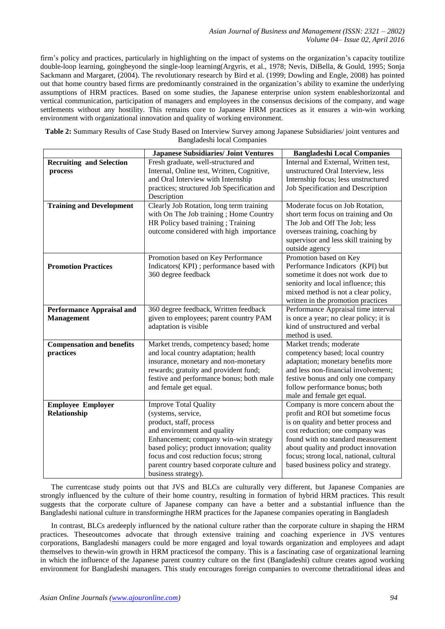firm's policy and practices, particularly in highlighting on the impact of systems on the organization's capacity toutilize double-loop learning, goingbeyond the single-loop learning(Argyris, et al., 1978; Nevis, DiBella, & Gould, 1995; Sonja Sackmann and Margaret, (2004). The revolutionary research by Bird et al. (1999; Dowling and Engle, 2008) has pointed out that home country based firms are predominantly constrained in the organization's ability to examine the underlying assumptions of HRM practices. Based on some studies, the Japanese enterprise union system enableshorizontal and vertical communication, participation of managers and employees in the consensus decisions of the company, and wage settlements without any hostility. This remains core to Japanese HRM practices as it ensures a win-win working environment with organizational innovation and quality of working environment.

**Table 2:** Summary Results of Case Study Based on Interview Survey among Japanese Subsidiaries/ joint ventures and Bangladeshi local Companies

|                                  | <b>Japanese Subsidiaries/ Joint Ventures</b> | <b>Bangladeshi Local Companies</b>      |  |  |
|----------------------------------|----------------------------------------------|-----------------------------------------|--|--|
| <b>Recruiting and Selection</b>  | Fresh graduate, well-structured and          | Internal and External, Written test,    |  |  |
| process                          | Internal, Online test, Written, Cognitive,   | unstructured Oral Interview, less       |  |  |
|                                  | and Oral Interview with Internship           | Internship focus; less unstructured     |  |  |
|                                  | practices; structured Job Specification and  | Job Specification and Description       |  |  |
|                                  | Description                                  |                                         |  |  |
| <b>Training and Development</b>  | Clearly Job Rotation, long term training     | Moderate focus on Job Rotation,         |  |  |
|                                  | with On The Job training; Home Country       | short term focus on training and On     |  |  |
|                                  | HR Policy based training; Training           | The Job and Off The Job; less           |  |  |
|                                  | outcome considered with high importance      | overseas training, coaching by          |  |  |
|                                  |                                              | supervisor and less skill training by   |  |  |
|                                  |                                              | outside agency                          |  |  |
|                                  | Promotion based on Key Performance           | Promotion based on Key                  |  |  |
| <b>Promotion Practices</b>       | Indicators(KPI); performance based with      | Performance Indicators (KPI) but        |  |  |
|                                  | 360 degree feedback                          | sometime it does not work due to        |  |  |
|                                  |                                              | seniority and local influence; this     |  |  |
|                                  |                                              | mixed method is not a clear policy,     |  |  |
|                                  |                                              | written in the promotion practices      |  |  |
| <b>Performance Appraisal and</b> | 360 degree feedback, Written feedback        | Performance Appraisal time interval     |  |  |
| <b>Management</b>                | given to employees; parent country PAM       | is once a year; no clear policy; it is  |  |  |
|                                  | adaptation is visible                        | kind of unstructured and verbal         |  |  |
|                                  |                                              | method is used.                         |  |  |
| <b>Compensation and benefits</b> | Market trends, competency based; home        | Market trends; moderate                 |  |  |
| practices                        | and local country adaptation; health         | competency based; local country         |  |  |
|                                  | insurance, monetary and non-monetary         | adaptation; monetary benefits more      |  |  |
|                                  | rewards; gratuity and provident fund;        | and less non-financial involvement;     |  |  |
|                                  | festive and performance bonus; both male     | festive bonus and only one company      |  |  |
|                                  | and female get equal.                        | follow performance bonus; both          |  |  |
|                                  |                                              | male and female get equal.              |  |  |
| <b>Employee Employer</b>         | <b>Improve Total Quality</b>                 | Company is more concern about the       |  |  |
| Relationship                     | (systems, service,                           | profit and ROI but sometime focus       |  |  |
|                                  | product, staff, process                      | is on quality and better process and    |  |  |
|                                  | and environment and quality                  | cost reduction; one company was         |  |  |
|                                  | Enhancement; company win-win strategy        | found with no standard measurement      |  |  |
|                                  | based policy; product innovation; quality    | about quality and product innovation    |  |  |
|                                  | focus and cost reduction focus; strong       | focus; strong local, national, cultural |  |  |
|                                  | parent country based corporate culture and   | based business policy and strategy.     |  |  |
|                                  | business strategy).                          |                                         |  |  |

The currentcase study points out that JVS and BLCs are culturally very different, but Japanese Companies are strongly influenced by the culture of their home country, resulting in formation of hybrid HRM practices. This result suggests that the corporate culture of Japanese company can have a better and a substantial influence than the Bangladeshi national culture in transformingthe HRM practices for the Japanese companies operating in Bangladesh

In contrast, BLCs aredeeply influenced by the national culture rather than the corporate culture in shaping the HRM practices. Theseoutcomes advocate that through extensive training and coaching experience in JVS ventures corporations, Bangladeshi managers could be more engaged and loyal towards organization and employees and adapt themselves to thewin-win growth in HRM practicesof the company. This is a fascinating case of organizational learning in which the influence of the Japanese parent country culture on the first (Bangladeshi) culture creates agood working environment for Bangladeshi managers. This study encourages foreign companies to overcome thetraditional ideas and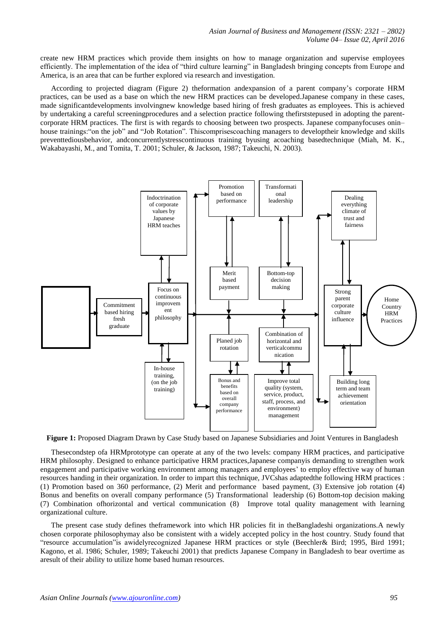create new HRM practices which provide them insights on how to manage organization and supervise employees efficiently. The implementation of the idea of "third culture learning" in Bangladesh bringing concepts from Europe and America, is an area that can be further explored via research and investigation.

According to projected diagram (Figure 2) theformation andexpansion of a parent company's corporate HRM practices, can be used as a base on which the new HRM practices can be developed.Japanese company in these cases, made significantdevelopments involvingnew knowledge based hiring of fresh graduates as employees. This is achieved by undertaking a careful screeningprocedures and a selection practice following thefirststepused in adopting the parentcorporate HRM practices. The first is with regards to choosing between two prospects. Japanese companyfocuses onin– house trainings:"on the job" and "Job Rotation". Thiscomprisescoaching managers to developtheir knowledge and skills preventtediousbehavior, andconcurrentlystresscontinuous training byusing acoaching basedtechnique (Miah, M. K., Wakabayashi, M., and Tomita, T. 2001; Schuler, & Jackson, 1987; Takeuchi, N. 2003).



**Figure 1:** Proposed Diagram Drawn by Case Study based on Japanese Subsidiaries and Joint Ventures in Bangladesh

Thesecondstep ofa HRMprototype can operate at any of the two levels: company HRM practices, and participative HRM philosophy. Designed to enhance participative HRM practices,Japanese companyis demanding to strengthen work engagement and participative working environment among managers and employees' to employ effective way of human resources handing in their organization. In order to impart this technique, JVCshas adaptedthe following HRM practices : (1) Promotion based on 360 performance, (2) Merit and performance based payment, (3) Extensive job rotation (4) Bonus and benefits on overall company performance (5) Transformational leadership (6) Bottom-top decision making (7) Combination ofhorizontal and vertical communication (8) Improve total quality management with learning organizational culture.

The present case study defines theframework into which HR policies fit in theBangladeshi organizations.A newly chosen corporate philosophymay also be consistent with a widely accepted policy in the host country. Study found that "resource accumulation"is awidelyrecognized Japanese HRM practices or style (Beechler& Bird; 1995, Bird 1991; Kagono, et al. 1986; Schuler, 1989; Takeuchi 2001) that predicts Japanese Company in Bangladesh to bear overtime as aresult of their ability to utilize home based human resources.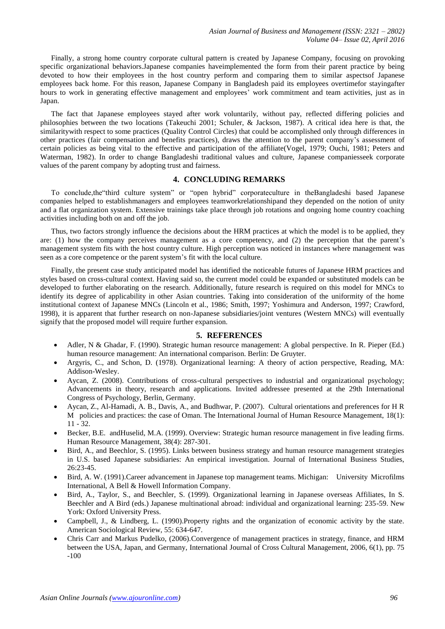Finally, a strong home country corporate cultural pattern is created by Japanese Company, focusing on provoking specific organizational behaviors.Japanese companies haveimplemented the form from their parent practice by being devoted to how their employees in the host country perform and comparing them to similar aspectsof Japanese employees back home. For this reason, Japanese Company in Bangladesh paid its employees overtimefor stayingafter hours to work in generating effective management and employees' work commitment and team activities, just as in Japan.

The fact that Japanese employees stayed after work voluntarily, without pay, reflected differing policies and philosophies between the two locations (Takeuchi 2001; Schuler, & Jackson, 1987). A critical idea here is that, the similaritywith respect to some practices (Quality Control Circles) that could be accomplished only through differences in other practices (fair compensation and benefits practices), draws the attention to the parent company's assessment of certain policies as being vital to the effective and participation of the affiliate(Vogel, 1979; Ouchi, 1981; Peters and Waterman, 1982). In order to change Bangladeshi traditional values and culture, Japanese companiesseek corporate values of the parent company by adopting trust and fairness.

## **4. CONCLUDING REMARKS**

To conclude,the"third culture system" or "open hybrid" corporateculture in theBangladeshi based Japanese companies helped to establishmanagers and employees teamworkrelationshipand they depended on the notion of unity and a flat organization system. Extensive trainings take place through job rotations and ongoing home country coaching activities including both on and off the job.

Thus, two factors strongly influence the decisions about the HRM practices at which the model is to be applied, they are: (1) how the company perceives management as a core competency, and (2) the perception that the parent's management system fits with the host country culture. High perception was noticed in instances where management was seen as a core competence or the parent system's fit with the local culture.

Finally, the present case study anticipated model has identified the noticeable futures of Japanese HRM practices and styles based on cross-cultural context. Having said so, the current model could be expanded or substituted models can be developed to further elaborating on the research. Additionally, future research is required on this model for MNCs to identify its degree of applicability in other Asian countries. Taking into consideration of the uniformity of the home institutional context of Japanese MNCs (Lincoln et al., 1986; Smith, 1997; Yoshimura and Anderson, 1997; Crawford, 1998), it is apparent that further research on non-Japanese subsidiaries/joint ventures (Western MNCs) will eventually signify that the proposed model will require further expansion.

### **5. REFERENCES**

- Adler, N & Ghadar, F. (1990). Strategic human resource management: A global perspective. In R. Pieper (Ed.) human resource management: An international comparison. Berlin: De Gruyter.
- Argyris, C., and Schon, D. (1978). Organizational learning: A theory of action perspective, Reading, MA: Addison-Wesley.
- Aycan, Z. (2008). Contributions of cross-cultural perspectives to industrial and organizational psychology; Advancements in theory, research and applications. Invited addressee presented at the 29th International Congress of Psychology, Berlin, Germany.
- Aycan, Z., Al-Hamadi, A. B., Davis, A., and Budhwar, P. (2007). Cultural orientations and preferences for H R M policies and practices: the case of Oman. The International Journal of Human Resource Management, 18(1):  $11 - 32$ .
- Becker, B.E. andHuselid, M.A. (1999). Overview: Strategic human resource management in five leading firms. Human Resource Management, 38(4): 287-301.
- Bird, A., and Beechlor, S. (1995). Links between business strategy and human resource management strategies in U.S. based Japanese subsidiaries: An empirical investigation. Journal of International Business Studies, 26:23-45.
- Bird, A. W. (1991).Career advancement in Japanese top management teams. Michigan: University Microfilms International, A Bell & Howell Information Company.
- Bird, A., Taylor, S., and Beechler, S. (1999). Organizational learning in Japanese overseas Affiliates, In S. Beechler and A Bird (eds.) Japanese multinational abroad: individual and organizational learning: 235-59. New York: Oxford University Press.
- Campbell, J., & Lindberg, L. (1990).Property rights and the organization of economic activity by the state. American Sociological Review, 55: 634-647.
- Chris Carr and Markus Pudelko, (2006).Convergence of management practices in strategy, finance, and HRM between the USA, Japan, and Germany, International Journal of Cross Cultural Management, 2006, 6(1), pp. 75 -100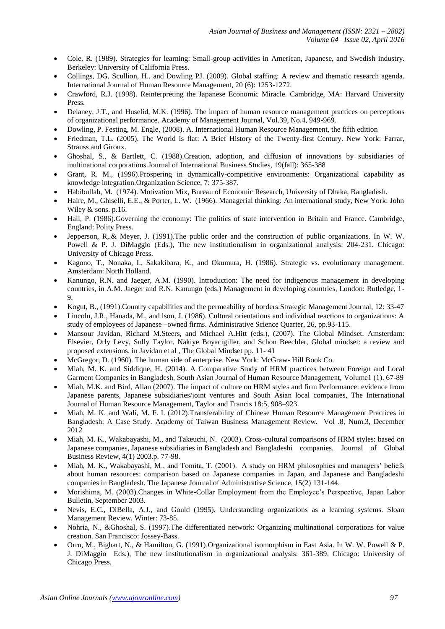- Cole, R. (1989). Strategies for learning: Small-group activities in American, Japanese, and Swedish industry. Berkeley: University of California Press.
- Collings, DG, Scullion, H., and Dowling PJ. (2009). Global staffing: A review and thematic research agenda. International Journal of Human Resource Management, 20 (6): 1253-1272.
- Crawford, R.J. (1998). Reinterpreting the Japanese Economic Miracle. Cambridge, MA: Harvard University Press.
- Delaney, J.T., and Huselid, M.K. (1996). The impact of human resource management practices on perceptions of organizational performance. Academy of Management Journal, Vol.39, No.4, 949-969.
- Dowling, P. Festing, M. Engle, (2008). A. International Human Resource Management, the fifth edition
- Friedman, T.L. (2005). The World is flat: A Brief History of the Twenty-first Century. New York: Farrar, Strauss and Giroux.
- Ghoshal, S., & Bartlett, C. (1988).Creation, adoption, and diffusion of innovations by subsidiaries of multinational corporations.Journal of International Business Studies, 19(fall): 365-388
- Grant, R. M., (1996).Prospering in dynamically-competitive environments: Organizational capability as knowledge integration.Organization Science, 7: 375-387.
- Habibullah, M. (1974). Motivation Mix, Bureau of Economic Research, University of Dhaka, Bangladesh.
- Haire, M., Ghiselli, E.E., & Porter, L. W. (1966). Managerial thinking: An international study, New York: John Wiley & sons. p.16.
- Hall, P. (1986).Governing the economy: The politics of state intervention in Britain and France. Cambridge, England: Polity Press.
- Jepperson, R,.& Meyer, J. (1991).The public order and the construction of public organizations. In W. W. Powell & P. J. DiMaggio (Eds.), The new institutionalism in organizational analysis: 204-231. Chicago: University of Chicago Press.
- Kagono, T., Nonaka, I., Sakakibara, K., and Okumura, H. (1986). Strategic vs. evolutionary management. Amsterdam: North Holland.
- Kanungo, R.N. and Jaeger, A.M. (1990). Introduction: The need for indigenous management in developing countries, in A.M. Jaeger and R.N. Kanungo (eds.) Management in developing countries, London: Rutledge, 1- 9.
- Kogut, B., (1991).Country capabilities and the permeability of borders.Strategic Management Journal, 12: 33-47
- Lincoln, J.R., Hanada, M., and lson, J. (1986). Cultural orientations and individual reactions to organizations: A study of employees of Japanese –owned firms. Administrative Science Quarter, 26, pp.93-115.
- Mansour Javidan, Richard M.Steers, and Michael A.Hitt (eds.), (2007). The Global Mindset. Amsterdam: Elsevier, Orly Levy, Sully Taylor, Nakiye Boyacigiller, and Schon Beechler, Global mindset: a review and proposed extensions, in Javidan et al , The Global Mindset pp. 11- 41
- McGregor, D. (1960). The human side of enterprise. New York: McGraw- Hill Book Co.
- Miah, M. K. and Siddique, H. (2014). A Comparative Study of HRM practices between Foreign and Local Garment Companies in Bangladesh, South Asian Journal of Human Resource Management, Volume1 (1), 67-89
- Miah, M.K. and Bird, Allan (2007). The impact of culture on HRM styles and firm Performance: evidence from Japanese parents, Japanese subsidiaries/joint ventures and South Asian local companies, The International Journal of Human Resource Management, Taylor and Francis 18:5, 908–923.
- Miah, M. K. and Wali, M. F. I. (2012).Transferability of Chinese Human Resource Management Practices in Bangladesh: A Case Study. Academy of Taiwan Business Management Review. Vol .8, Num.3, December 2012
- Miah, M. K., Wakabayashi, M., and Takeuchi, N. (2003). Cross-cultural comparisons of HRM styles: based on Japanese companies, Japanese subsidiaries in Bangladesh and Bangladeshi companies. Journal of Global Business Review, 4(1) 2003.p. 77-98.
- Miah, M. K., Wakabayashi, M., and Tomita, T. (2001). A study on HRM philosophies and managers' beliefs about human resources: comparison based on Japanese companies in Japan, and Japanese and Bangladeshi companies in Bangladesh. The Japanese Journal of Administrative Science, 15(2) 131-144.
- Morishima, M. (2003).Changes in White-Collar Employment from the Employee's Perspective, Japan Labor Bulletin, September 2003.
- Nevis, E.C., DiBella, A.J., and Gould (1995). Understanding organizations as a learning systems. Sloan Management Review. Winter: 73-85.
- Nohria, N., &Ghoshal, S. (1997).The differentiated network: Organizing multinational corporations for value creation. San Francisco: Jossey-Bass.
- Orru, M., Bighart, N., & Hamilton, G. (1991).Organizational isomorphism in East Asia. In W. W. Powell & P. J. DiMaggio Eds.), The new institutionalism in organizational analysis: 361-389. Chicago: University of Chicago Press.